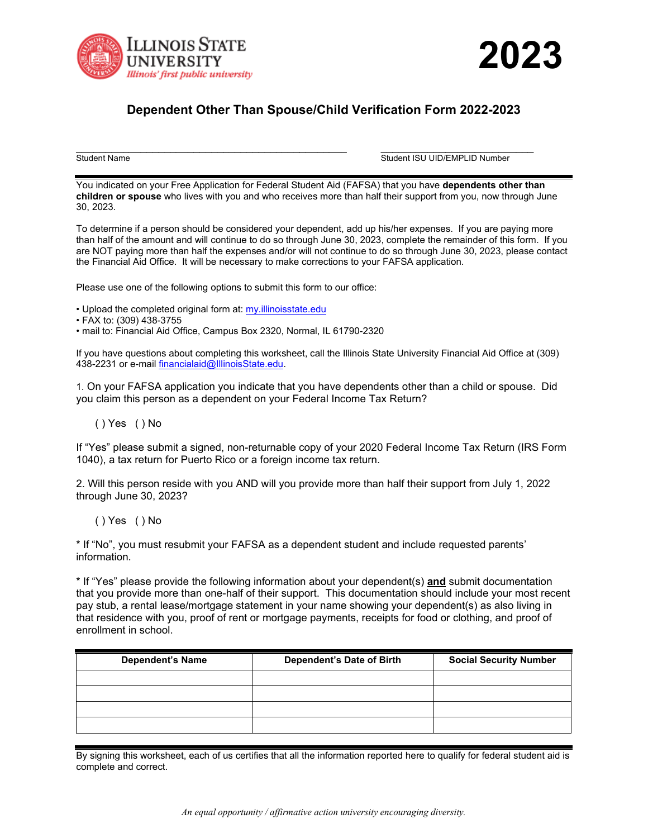



## **Dependent Other Than Spouse/Child Verification Form 2022-2023**

\_\_\_\_\_\_\_\_\_\_\_\_\_\_\_\_\_\_\_\_\_\_\_\_\_\_\_\_\_\_\_\_\_\_\_\_\_\_\_\_\_\_\_\_\_\_ \_\_\_\_\_\_\_\_\_\_\_\_\_\_\_\_\_\_\_\_\_\_\_\_\_\_ Student Name Student ISU UID/EMPLID Number

You indicated on your Free Application for Federal Student Aid (FAFSA) that you have **dependents other than children or spouse** who lives with you and who receives more than half their support from you, now through June 30, 2023.

To determine if a person should be considered your dependent, add up his/her expenses. If you are paying more than half of the amount and will continue to do so through June 30, 2023, complete the remainder of this form. If you are NOT paying more than half the expenses and/or will not continue to do so through June 30, 2023, please contact the Financial Aid Office. It will be necessary to make corrections to your FAFSA application.

Please use one of the following options to submit this form to our office:

- Upload the completed original form at: [my.illinoisstate.edu](https://my.illinoisstate.edu/)
- FAX to: (309) 438-3755
- mail to: Financial Aid Office, Campus Box 2320, Normal, IL 61790-2320

If you have questions about completing this worksheet, call the Illinois State University Financial Aid Office at (309) 438-2231 or e-mail financialaid@IllinoisState.edu.

1. On your FAFSA application you indicate that you have dependents other than a child or spouse. Did you claim this person as a dependent on your Federal Income Tax Return?

## ( ) Yes ( ) No

If "Yes" please submit a signed, non-returnable copy of your 2020 Federal Income Tax Return (IRS Form 1040), a tax return for Puerto Rico or a foreign income tax return.

2. Will this person reside with you AND will you provide more than half their support from July 1, 2022 through June 30, 2023?

( ) Yes ( ) No

\* If "No", you must resubmit your FAFSA as a dependent student and include requested parents' information.

\* If "Yes" please provide the following information about your dependent(s) **and** submit documentation that you provide more than one-half of their support. This documentation should include your most recent pay stub, a rental lease/mortgage statement in your name showing your dependent(s) as also living in that residence with you, proof of rent or mortgage payments, receipts for food or clothing, and proof of enrollment in school.

| <b>Dependent's Name</b> | Dependent's Date of Birth | <b>Social Security Number</b> |
|-------------------------|---------------------------|-------------------------------|
|                         |                           |                               |
|                         |                           |                               |
|                         |                           |                               |
|                         |                           |                               |

By signing this worksheet, each of us certifies that all the information reported here to qualify for federal student aid is complete and correct.